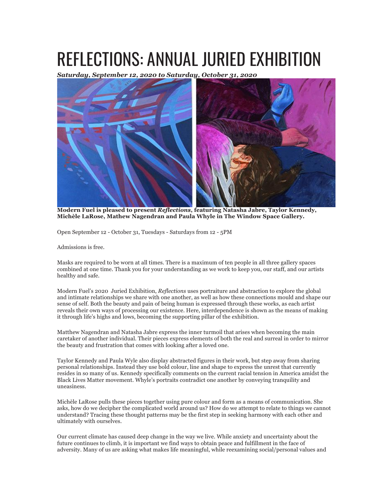## REFLECTIONS: ANNUAL JURIED EXHIBITION

*Saturday, September 12, 2020 to Saturday, October 31, 2020*



**Modern Fuel is pleased to present** *Reflections***, featuring Natasha Jabre, Taylor Kennedy, Michèle LaRose, Mathew Nagendran and Paula Whyle in The Window Space Gallery.**

Open September 12 - October 31, Tuesdays - Saturdays from 12 - 5PM

Admissions is free.

Masks are required to be worn at all times. There is a maximum of ten people in all three gallery spaces combined at one time. Thank you for your understanding as we work to keep you, our staff, and our artists healthy and safe.

Modern Fuel's 2020 Juried Exhibition, *Reflections* uses portraiture and abstraction to explore the global and intimate relationships we share with one another, as well as how these connections mould and shape our sense of self. Both the beauty and pain of being human is expressed through these works, as each artist reveals their own ways of processing our existence. Here, interdependence is shown as the means of making it through life's highs and lows, becoming the supporting pillar of the exhibition.

Matthew Nagendran and Natasha Jabre express the inner turmoil that arises when becoming the main caretaker of another individual. Their pieces express elements of both the real and surreal in order to mirror the beauty and frustration that comes with looking after a loved one.

Taylor Kennedy and Paula Wyle also display abstracted figures in their work, but step away from sharing personal relationships. Instead they use bold colour, line and shape to express the unrest that currently resides in so many of us. Kennedy specifically comments on the current racial tension in America amidst the Black Lives Matter movement. Whyle's portraits contradict one another by conveying tranquility and uneasiness.

Michèle LaRose pulls these pieces together using pure colour and form as a means of communication. She asks, how do we decipher the complicated world around us? How do we attempt to relate to things we cannot understand? Tracing these thought patterns may be the first step in seeking harmony with each other and ultimately with ourselves.

Our current climate has caused deep change in the way we live. While anxiety and uncertainty about the future continues to climb, it is important we find ways to obtain peace and fulfillment in the face of adversity. Many of us are asking what makes life meaningful, while reexamining social/personal values and